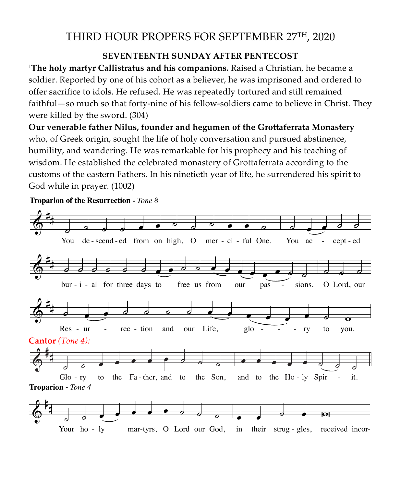## THIRD HOUR PROPERS FOR SEPTEMBER 27TH, 2020

## **SEVENTEENTH SUNDAY AFTER PENTECOST**

<sup>1</sup>**The holy martyr Callistratus and his companions.** Raised a Christian, he became a soldier. Reported by one of his cohort as a believer, he was imprisoned and ordered to offer sacrifice to idols. He refused. He was repeatedly tortured and still remained faithful—so much so that forty-nine of his fellow-soldiers came to believe in Christ. They were killed by the sword. (304)

**Our venerable father Nilus, founder and hegumen of the Grottaferrata Monastery**  who, of Greek origin, sought the life of holy conversation and pursued abstinence, humility, and wandering. He was remarkable for his prophecy and his teaching of wisdom. He established the celebrated monastery of Grottaferrata according to the wisdom. He established the celebrated monastery of Grottalerrata according to the<br>customs of the eastern Fathers. In his ninetieth year of life, he surrendered his spirit to<br>God while in prayer. (1002) God while in prayer. (1002) accord<br>endere ered his spirit to

Troparion of the Resurrection - *Tone 8* 

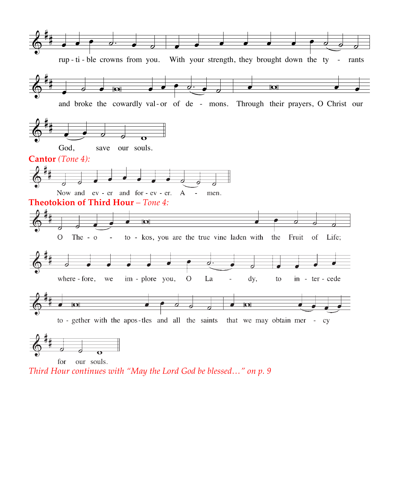

for our souls. *Third Hour continues with "May the Lord God be blessed…" on p. 9*